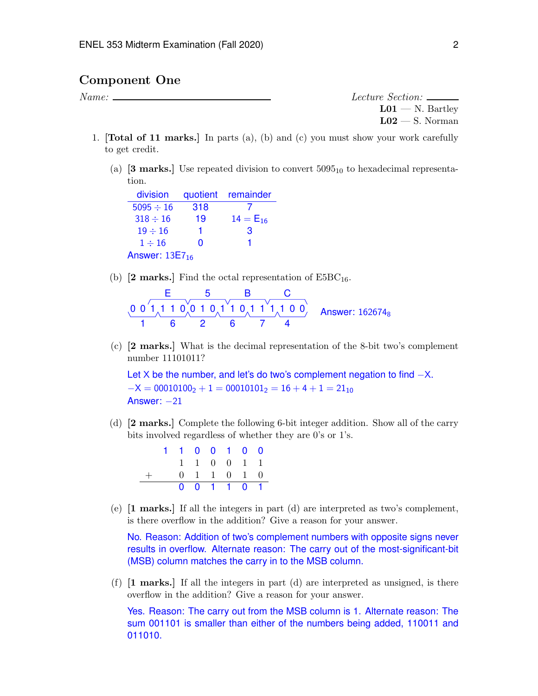### Component One

*Name: Lecture Section:*  $L01 - N$ . Bartley  $L02 - S$ . Norman

- 1. [Total of 11 marks.] In parts (a), (b) and (c) you must show your work carefully to get credit.
	- (a)  $[3 \text{ marks.}]$  Use repeated division to convert  $5095_{10}$  to hexadecimal representation.

division quotient remainder  $5095 \div 16$  318 7<br> $318 \div 16$  19  $14 = E_{16}$  $318 \div 16$  19  $14 =$ <br> $19 \div 16$  1 3  $19 \div 16$  1 3<br> $1 \div 16$  0 1  $1 \div 16$ Answer:  $13E7_{16}$ 

(b)  $[2 \text{ marks.}]$  Find the octal representation of E5BC<sub>16</sub>.

$$
\begin{array}{cccc}\n & E & 5 & B & C \\
\hline\n0 & 0 & 1 & 1 & 0 & 0 & 1 & 0 & 1 \\
\hline\n1 & 6 & 2 & 6 & 7 & 4\n\end{array}
$$
 Answer: 162674<sub>8</sub>

(c) [2 marks.] What is the decimal representation of the 8-bit two's complement number 11101011?

Let X be the number, and let's do two's complement negation to find  $-X$ .  $-X = 00010100<sub>2</sub> + 1 = 00010101<sub>2</sub> = 16 + 4 + 1 = 21<sub>10</sub>$ Answer:  $-21$ 

(d) [2 marks.] Complete the following 6-bit integer addition. Show all of the carry bits involved regardless of whether they are 0's or 1's.

|  | 1100100 |  |             |  |
|--|---------|--|-------------|--|
|  |         |  | 1 1 0 0 1 1 |  |
|  |         |  | 0 1 1 0 1 0 |  |
|  |         |  | 0 0 1 1 0 1 |  |

(e) [1 marks.] If all the integers in part (d) are interpreted as two's complement, is there overflow in the addition? Give a reason for your answer.

No. Reason: Addition of two's complement numbers with opposite signs never results in overflow. Alternate reason: The carry out of the most-significant-bit (MSB) column matches the carry in to the MSB column.

(f) [1 marks.] If all the integers in part (d) are interpreted as unsigned, is there overflow in the addition? Give a reason for your answer.

Yes. Reason: The carry out from the MSB column is 1. Alternate reason: The sum 001101 is smaller than either of the numbers being added, 110011 and 011010.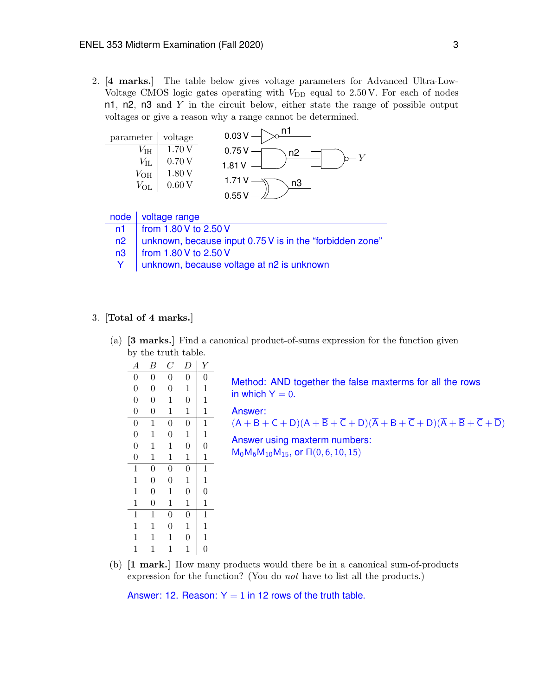2. [4 marks.] The table below gives voltage parameters for Advanced Ultra-Low-Voltage CMOS logic gates operating with  $V_{\text{DD}}$  equal to 2.50 V. For each of nodes n1, n2, n3 and *Y* in the circuit below, either state the range of possible output voltages or give a reason why a range cannot be determined.



|  | node   voltage range |
|--|----------------------|
|--|----------------------|

|  |  | n1   from 1.80 V to 2.50 V |  |
|--|--|----------------------------|--|
|--|--|----------------------------|--|

- n2 | unknown, because input 0.75 V is in the "forbidden zone"
- n3 | from 1.80 V to 2.50 V
- Y unknown, because voltage at n2 is unknown

### 3. [Total of 4 marks.]

(a) [3 marks.] Find a canonical product-of-sums expression for the function given by the truth table.

| ັ                |                  |                |                |                |
|------------------|------------------|----------------|----------------|----------------|
| $\boldsymbol{A}$ | Β                | $\, C \,$      | D              | Y              |
| $\boldsymbol{0}$ | $\overline{0}$   | $\overline{0}$ | $\overline{0}$ | $\overline{0}$ |
| $\overline{0}$   | $\boldsymbol{0}$ | $\overline{0}$ | $\mathbf{1}$   | $\mathbf 1$    |
| $\overline{0}$   | $\overline{0}$   | $\mathbf 1$    | $\overline{0}$ | $\mathbf{1}$   |
| $\overline{0}$   | $\overline{0}$   | $\mathbf{1}$   | $\mathbf{1}$   | $\mathbf 1$    |
| $\overline{0}$   | $\mathbf{1}$     | $\overline{0}$ | $\overline{0}$ | $\mathbf{1}$   |
| $\overline{0}$   | $\mathbf{1}$     | $\overline{0}$ | $\mathbf{1}$   | $\mathbf{1}$   |
| $\overline{0}$   | $\mathbf{1}$     | $\mathbf 1$    | $\overline{0}$ | $\overline{0}$ |
| $\overline{0}$   | $\mathbf{1}$     | $\mathbf{1}$   | $\mathbf{1}$   | $\mathbf 1$    |
| $\mathbf{1}$     | $\boldsymbol{0}$ | $\overline{0}$ | $\overline{0}$ | $\mathbf{1}$   |
| $\mathbf{1}$     | $\overline{0}$   | $\overline{0}$ | $\mathbf{1}$   | $\mathbf{1}$   |
| $\mathbf{1}$     | $\boldsymbol{0}$ | $\mathbf{1}$   | $\overline{0}$ | $\overline{0}$ |
| $\mathbf 1$      | $\overline{0}$   | $\mathbf 1$    | $\mathbf{1}$   | $\mathbf 1$    |
| $\mathbf{1}$     | $\mathbf{1}$     | $\overline{0}$ | $\overline{0}$ | $\mathbf{1}$   |
| $\mathbf{1}$     | $\mathbf{1}$     | $\overline{0}$ | $\mathbf{1}$   | $\mathbf{1}$   |
| $\mathbf{1}$     | 1                | $\mathbf 1$    | $\overline{0}$ | $\mathbf{1}$   |
| $\mathbf{1}$     | $\mathbf{1}$     | $\mathbf 1$    | $\mathbf{1}$   | $\overline{0}$ |
|                  |                  |                |                |                |

| Method: AND together the false maxterms for all the rows |  |  |  |
|----------------------------------------------------------|--|--|--|
| in which $Y = 0$ .                                       |  |  |  |

Answer:

 $(A + B + C + D)(A + \overline{B} + \overline{C} + D)(\overline{A} + B + \overline{C} + D)(\overline{A} + \overline{B} + \overline{C} + \overline{D})$ 

Answer using maxterm numbers:  $M_0M_6M_{10}M_{15}$ , or  $\Pi(0,6,10,15)$ 

(b) [1 mark.] How many products would there be in a canonical sum-of-products expression for the function? (You do *not* have to list all the products.)

Answer: 12. Reason:  $Y = 1$  in 12 rows of the truth table.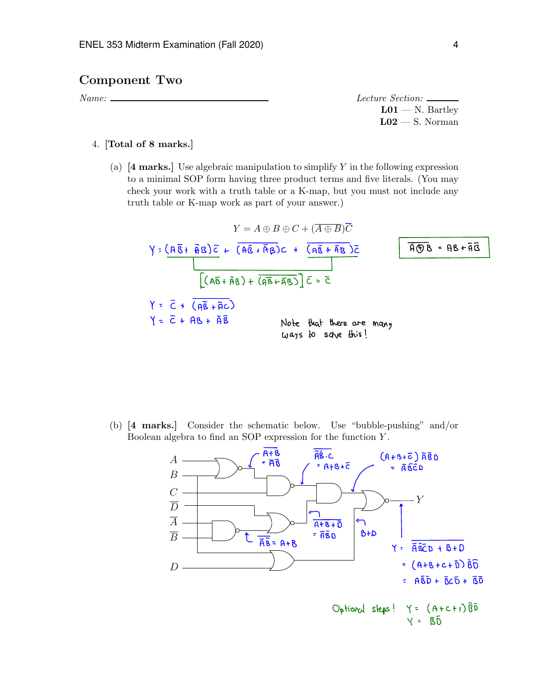## Component Two

*Name: Lecture Section:*  $L01 - N$ . Bartley  $L02 - S$ . Norman

### 4. [Total of 8 marks.]

(a) [4 marks.] Use algebraic manipulation to simplify *Y* in the following expression to a minimal SOP form having three product terms and five literals. (You may check your work with a truth table or a K-map, but you must not include any truth table or K-map work as part of your answer.)

$$
Y = A \oplus B \oplus C + (\overline{A \oplus B})\overline{C}
$$
\n
$$
Y = (\overline{A\overline{B}} + \overline{B})\overline{C} + (\overline{A\overline{B}} + \overline{A}\overline{B})C + (\overline{A\overline{B}} + \overline{B})\overline{C}
$$
\n
$$
[(A\overline{B} + \overline{B}\overline{B}) + (\overline{B\overline{B}} + \overline{B}\overline{B})] \overline{C} = \overline{C}
$$
\n
$$
Y = \overline{C} + (\overline{B\overline{B}} + \overline{B}C)
$$
\n
$$
Y = \overline{C} + \overline{B\overline{B}} + \overline{B\overline{B}}
$$
\nNote that there are many ways to solve this!

(b) [4 marks.] Consider the schematic below. Use "bubble-pushing" and/or Boolean algebra to find an SOP expression for the function *Y* .

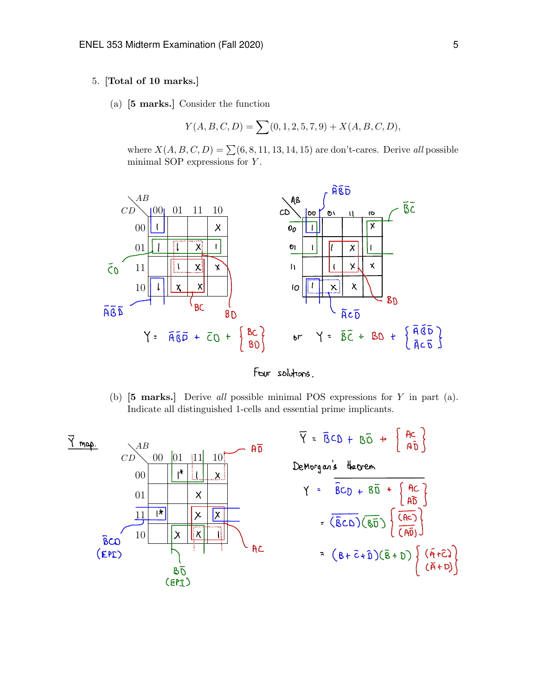#### 5. [Total of 10 marks.]

(a) [5 marks.] Consider the function

$$
Y(A, B, C, D) = \sum (0, 1, 2, 5, 7, 9) + X(A, B, C, D),
$$

where  $X(A, B, C, D) = \sum (6, 8, 11, 13, 14, 15)$  are don't-cares. Derive *all* possible minimal SOP expressions for *Y* .



Four solutions .

(b) [5 marks.] Derive *all* possible minimal POS expressions for *Y* in part (a). Indicate all distinguished 1-cells and essential prime implicants.

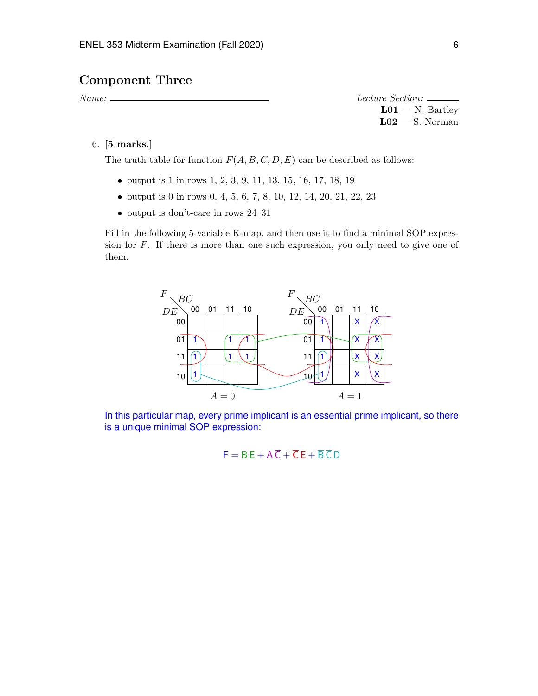# Component Three

*Name: Lecture Section:*  $L01 - N$ . Bartley  $L02 - S$ . Norman

6. [5 marks.]

The truth table for function  $F(A, B, C, D, E)$  can be described as follows:

- *•* output is 1 in rows 1, 2, 3, 9, 11, 13, 15, 16, 17, 18, 19
- *•* output is 0 in rows 0, 4, 5, 6, 7, 8, 10, 12, 14, 20, 21, 22, 23
- output is don't-care in rows 24–31

Fill in the following 5-variable K-map, and then use it to find a minimal SOP expression for *F*. If there is more than one such expression, you only need to give one of them.



In this particular map, every prime implicant is an essential prime implicant, so there is a unique minimal SOP expression:

$$
F = BE + A\overline{C} + \overline{C}E + \overline{B}\overline{C}D
$$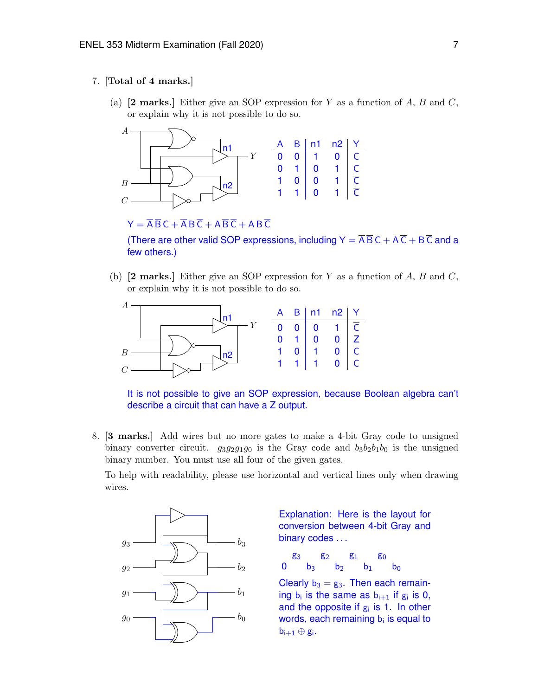### 7. [Total of 4 marks.]

(a) [2 marks.] Either give an SOP expression for *Y* as a function of *A*, *B* and *C*, or explain why it is not possible to do so.



 $Y = \overline{A} \overline{B} C + \overline{A} B \overline{C} + A \overline{B} \overline{C} + A B \overline{C}$ 

(There are other valid SOP expressions, including  $Y = \overline{A} \overline{B} C + A \overline{C} + B \overline{C}$  and a few others.)

(b) [2 marks.] Either give an SOP expression for *Y* as a function of *A*, *B* and *C*, or explain why it is not possible to do so.



It is not possible to give an SOP expression, because Boolean algebra can't describe a circuit that can have a Z output.

8. [3 marks.] Add wires but no more gates to make a 4-bit Gray code to unsigned binary converter circuit.  $g_3g_2g_1g_0$  is the Gray code and  $b_3b_2b_1b_0$  is the unsigned binary number. You must use all four of the given gates.

To help with readability, please use horizontal and vertical lines only when drawing wires.



Explanation: Here is the layout for conversion between 4-bit Gray and binary codes ...

g<sub>3</sub> g<sub>2</sub> g<sub>1</sub> g<sub>0</sub> 0  $b_3$   $b_2$   $b_1$   $b_0$ 

Clearly  $b_3 = g_3$ . Then each remaining  $b_i$  is the same as  $b_{i+1}$  if  $g_i$  is 0, and the opposite if  $g_i$  is 1. In other words, each remaining  $b_i$  is equal to  $b_{i+1} \oplus g_i$ .